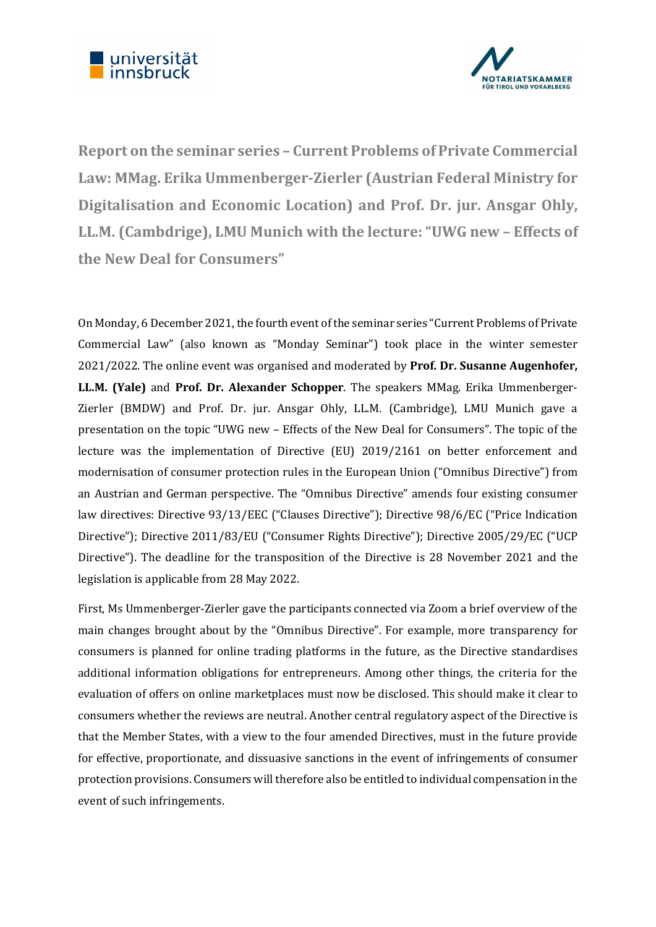



Report on the seminar series – Current Problems of Private Commercial Law: MMag. Erika Ummenberger-Zierler (Austrian Federal Ministry for Digitalisation and Economic Location) and Prof. Dr. jur. Ansgar Ohly, LL.M. (Cambdrige), LMU Munich with the lecture: "UWG new – Effects of the New Deal for Consumers"

On Monday, 6 December 2021, the fourth event of the seminar series "Current Problems of Private Commercial Law" (also known as "Monday Seminar") took place in the winter semester 2021/2022. The online event was organised and moderated by **Prof. Dr. Susanne Augenhofer,** LL.M. (Yale) and Prof. Dr. Alexander Schopper. The speakers MMag. Erika Ummenberger-Zierler (BMDW) and Prof. Dr. jur. Ansgar Ohly, LL.M. (Cambridge), LMU Munich gave a presentation on the topic "UWG new – Effects of the New Deal for Consumers". The topic of the lecture was the implementation of Directive (EU) 2019/2161 on better enforcement and modernisation of consumer protection rules in the European Union ("Omnibus Directive") from an Austrian and German perspective. The "Omnibus Directive" amends four existing consumer law directives: Directive 93/13/EEC ("Clauses Directive"); Directive 98/6/EC ("Price Indication Directive"); Directive 2011/83/EU ("Consumer Rights Directive"); Directive 2005/29/EC ("UCP Directive"). The deadline for the transposition of the Directive is 28 November 2021 and the legislation is applicable from 28 May 2022.

First, Ms Ummenberger-Zierler gave the participants connected via Zoom a brief overview of the main changes brought about by the "Omnibus Directive". For example, more transparency for consumers is planned for online trading platforms in the future, as the Directive standardises additional information obligations for entrepreneurs. Among other things, the criteria for the evaluation of offers on online marketplaces must now be disclosed. This should make it clear to consumers whether the reviews are neutral. Another central regulatory aspect of the Directive is that the Member States, with a view to the four amended Directives, must in the future provide for effective, proportionate, and dissuasive sanctions in the event of infringements of consumer protection provisions. Consumers will therefore also be entitled to individual compensation in the event of such infringements.